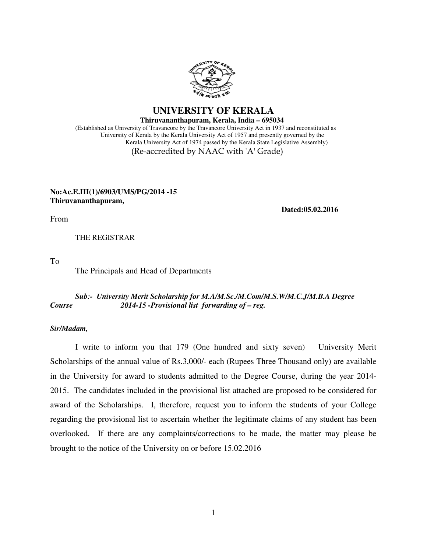

 **UNIVERSITY OF KERALA Thiruvananthapuram, Kerala, India – 695034**

 (Established as University of Travancore by the Travancore University Act in 1937 and reconstituted as University of Kerala by the Kerala University Act of 1957 and presently governed by the Kerala University Act of 1974 passed by the Kerala State Legislative Assembly) (Re-accredited by NAAC with 'A' Grade)

### **No:Ac.E.III(1)/6903/UMS/PG/2014 -15 Thiruvananthapuram,**

 **Dated:05.02.2016**

From

THE REGISTRAR

To

The Principals and Head of Departments

### *Sub:- University Merit Scholarship for M.A/M.Sc./M.Com/M.S.W/M.C.J/M.B.A Degree Course 2014-15 -Provisional list forwarding of – reg.*

#### *Sir/Madam,*

 I write to inform you that 179 (One hundred and sixty seven) University Merit Scholarships of the annual value of Rs.3,000/- each (Rupees Three Thousand only) are available in the University for award to students admitted to the Degree Course, during the year 2014- 2015. The candidates included in the provisional list attached are proposed to be considered for award of the Scholarships. I, therefore, request you to inform the students of your College regarding the provisional list to ascertain whether the legitimate claims of any student has been overlooked. If there are any complaints/corrections to be made, the matter may please be brought to the notice of the University on or before 15.02.2016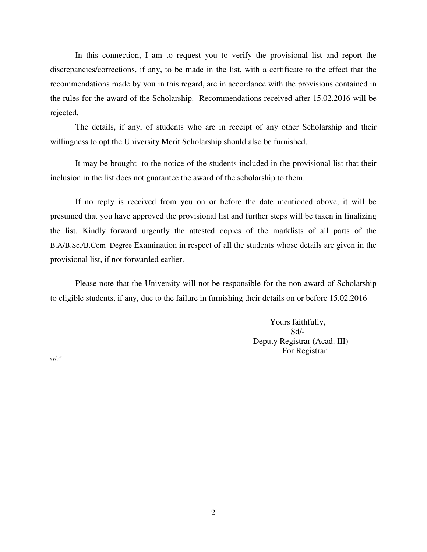In this connection, I am to request you to verify the provisional list and report the discrepancies/corrections, if any, to be made in the list, with a certificate to the effect that the recommendations made by you in this regard, are in accordance with the provisions contained in the rules for the award of the Scholarship. Recommendations received after 15.02.2016 will be rejected.

 The details, if any, of students who are in receipt of any other Scholarship and their willingness to opt the University Merit Scholarship should also be furnished.

It may be brought to the notice of the students included in the provisional list that their inclusion in the list does not guarantee the award of the scholarship to them.

 If no reply is received from you on or before the date mentioned above, it will be presumed that you have approved the provisional list and further steps will be taken in finalizing the list. Kindly forward urgently the attested copies of the marklists of all parts of the B.A/B.Sc./B.Com Degree Examination in respect of all the students whose details are given in the provisional list, if not forwarded earlier.

 Please note that the University will not be responsible for the non-award of Scholarship to eligible students, if any, due to the failure in furnishing their details on or before 15.02.2016

> Yours faithfully, Sd/- Deputy Registrar (Acad. III) For Registrar

sy/c5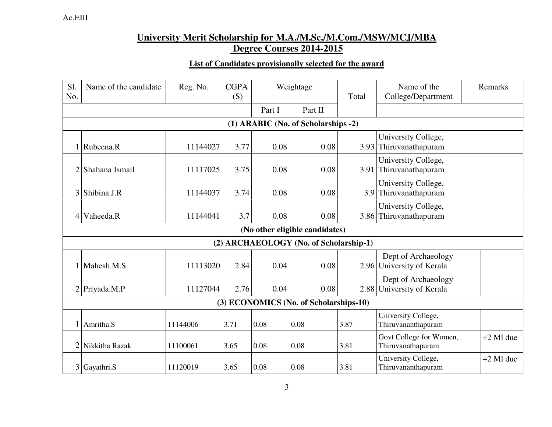## **University Merit Scholarship for M.A./M.Sc./M.Com./MSW/MCJ/MBA Degree Courses 2014-2015**

## **List of Candidates provisionally selected for the award**

| Sl.<br>No.      | Name of the candidate | Reg. No. | <b>CGPA</b><br>(S) |        | Weightage                              | Total | Name of the<br>College/Department                | Remarks     |
|-----------------|-----------------------|----------|--------------------|--------|----------------------------------------|-------|--------------------------------------------------|-------------|
|                 |                       |          |                    | Part I | Part II                                |       |                                                  |             |
|                 |                       |          |                    |        | (1) ARABIC (No. of Scholarships -2)    |       |                                                  |             |
|                 | Rubeena.R             | 11144027 | 3.77               | 0.08   | 0.08                                   |       | University College,<br>3.93 Thiruvanathapuram    |             |
|                 | Shahana Ismail        | 11117025 | 3.75               | 0.08   | 0.08                                   |       | University College,<br>3.91 Thiruvanathapuram    |             |
| 3               | Shibina.J.R           | 11144037 | 3.74               | 0.08   | 0.08                                   |       | University College,<br>3.9 Thiruvanathapuram     |             |
| $\vert 4 \vert$ | Vaheeda.R             | 11144041 | 3.7                | 0.08   | 0.08                                   |       | University College,<br>3.86 Thiruvanathapuram    |             |
|                 |                       |          |                    |        | (No other eligible candidates)         |       |                                                  |             |
|                 |                       |          |                    |        | (2) ARCHAEOLOGY (No. of Scholarship-1) |       |                                                  |             |
|                 | Mahesh.M.S            | 11113020 | 2.84               | 0.04   | 0.08                                   |       | Dept of Archaeology<br>2.96 University of Kerala |             |
|                 | $2$ Priyada.M.P       | 11127044 | 2.76               | 0.04   | 0.08                                   |       | Dept of Archaeology<br>2.88 University of Kerala |             |
|                 |                       |          |                    |        | (3) ECONOMICS (No. of Scholarships-10) |       |                                                  |             |
|                 | Amritha.S             | 11144006 | 3.71               | 0.08   | 0.08                                   | 3.87  | University College,<br>Thiruvananthapuram        |             |
| 2               | Nikkitha Razak        | 11100061 | 3.65               | 0.08   | 0.08                                   | 3.81  | Govt College for Women,<br>Thiruvanathapuram     | $+2$ Ml due |
| 3               | Gayathri.S            | 11120019 | 3.65               | 0.08   | 0.08                                   | 3.81  | University College,<br>Thiruvananthapuram        | $+2$ Ml due |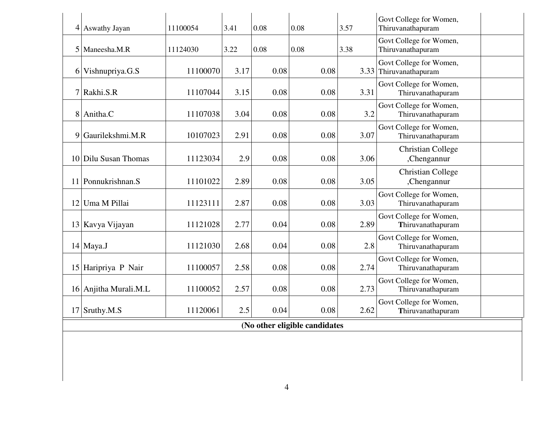|   | $4$ Aswathy Jayan     | 11100054 | 3.41 | 0.08 | 0.08                          | 3.57 | Govt College for Women,<br>Thiruvanathapuram      |
|---|-----------------------|----------|------|------|-------------------------------|------|---------------------------------------------------|
|   | 5 Maneesha.M.R        | 11124030 | 3.22 | 0.08 | 0.08                          | 3.38 | Govt College for Women,<br>Thiruvanathapuram      |
|   | $6$ Vishnupriya.G.S   | 11100070 | 3.17 | 0.08 | 0.08                          |      | Govt College for Women,<br>3.33 Thiruvanathapuram |
|   | $7$ Rakhi.S.R         | 11107044 | 3.15 | 0.08 | 0.08                          | 3.31 | Govt College for Women,<br>Thiruvanathapuram      |
| 8 | Anitha.C              | 11107038 | 3.04 | 0.08 | 0.08                          | 3.2  | Govt College for Women,<br>Thiruvanathapuram      |
| 9 | Gaurilekshmi.M.R      | 10107023 | 2.91 | 0.08 | 0.08                          | 3.07 | Govt College for Women,<br>Thiruvanathapuram      |
|   | 10 Dilu Susan Thomas  | 11123034 | 2.9  | 0.08 | 0.08                          | 3.06 | <b>Christian College</b><br>,Chengannur           |
|   | 11 Ponnukrishnan.S    | 11101022 | 2.89 | 0.08 | 0.08                          | 3.05 | <b>Christian College</b><br>,Chengannur           |
|   | 12 Uma M Pillai       | 11123111 | 2.87 | 0.08 | 0.08                          | 3.03 | Govt College for Women,<br>Thiruvanathapuram      |
|   | 13 Kavya Vijayan      | 11121028 | 2.77 | 0.04 | 0.08                          | 2.89 | Govt College for Women,<br>Thiruvanathapuram      |
|   | 14 Maya.J             | 11121030 | 2.68 | 0.04 | 0.08                          | 2.8  | Govt College for Women,<br>Thiruvanathapuram      |
|   | 15 Haripriya P Nair   | 11100057 | 2.58 | 0.08 | 0.08                          | 2.74 | Govt College for Women,<br>Thiruvanathapuram      |
|   | 16 Anjitha Murali.M.L | 11100052 | 2.57 | 0.08 | 0.08                          | 2.73 | Govt College for Women,<br>Thiruvanathapuram      |
|   | 17 Sruthy.M.S         | 11120061 | 2.5  | 0.04 | 0.08                          | 2.62 | Govt College for Women,<br>Thiruvanathapuram      |
|   |                       |          |      |      | (No other eligible candidates |      |                                                   |
|   |                       |          |      |      |                               |      |                                                   |
|   |                       |          |      |      |                               |      |                                                   |
|   |                       |          |      | 4    |                               |      |                                                   |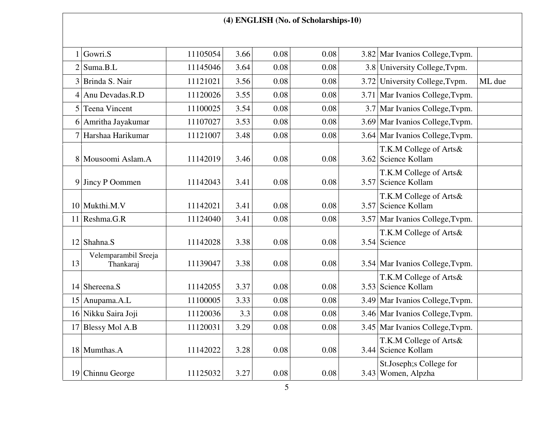## **(4) ENGLISH (No. of Scholarships-10)**

|    | Gowri.S                           | 11105054 | 3.66 | 0.08 | 0.08 | 3.82 Mar Ivanios College, Typm.               |        |
|----|-----------------------------------|----------|------|------|------|-----------------------------------------------|--------|
|    | $2$ Suma.B.L                      | 11145046 | 3.64 | 0.08 | 0.08 | 3.8 University College, Typm.                 |        |
|    | 3 Brinda S. Nair                  | 11121021 | 3.56 | 0.08 | 0.08 | 3.72 University College, Typm.                | ML due |
|    | 4 Anu Devadas.R.D                 | 11120026 | 3.55 | 0.08 | 0.08 | 3.71 Mar Ivanios College, Typm.               |        |
|    | 5 Teena Vincent                   | 11100025 | 3.54 | 0.08 | 0.08 | 3.7 Mar Ivanios College, Typm.                |        |
|    | 6 Amritha Jayakumar               | 11107027 | 3.53 | 0.08 | 0.08 | 3.69 Mar Ivanios College, Typm.               |        |
|    | 7 Harshaa Harikumar               | 11121007 | 3.48 | 0.08 | 0.08 | 3.64 Mar Ivanios College, Typm.               |        |
|    | 8 Mousoomi Aslam.A                | 11142019 | 3.46 | 0.08 | 0.08 | T.K.M College of Arts&<br>3.62 Science Kollam |        |
|    | $9$ Jincy P Oommen                | 11142043 | 3.41 | 0.08 | 0.08 | T.K.M College of Arts&<br>3.57 Science Kollam |        |
|    | $10$ Mukthi.M.V                   | 11142021 | 3.41 | 0.08 | 0.08 | T.K.M College of Arts&<br>3.57 Science Kollam |        |
|    | $11$ Reshma.G.R                   | 11124040 | 3.41 | 0.08 | 0.08 | 3.57 Mar Ivanios College, Typm.               |        |
|    | $12$ Shahna.S                     | 11142028 | 3.38 | 0.08 | 0.08 | T.K.M College of Arts&<br>3.54 Science        |        |
| 13 | Velemparambil Sreeja<br>Thankaraj | 11139047 | 3.38 | 0.08 | 0.08 | 3.54 Mar Ivanios College, Typm.               |        |
|    | 14 Shereena.S                     | 11142055 | 3.37 | 0.08 | 0.08 | T.K.M College of Arts&<br>3.53 Science Kollam |        |
|    | 15 Anupama.A.L                    | 11100005 | 3.33 | 0.08 | 0.08 | 3.49 Mar Ivanios College, Typm.               |        |
|    | 16 Nikku Saira Joji               | 11120036 | 3.3  | 0.08 | 0.08 | 3.46 Mar Ivanios College, Typm.               |        |
|    | 17 Blessy Mol A.B                 | 11120031 | 3.29 | 0.08 | 0.08 | 3.45 Mar Ivanios College, Typm.               |        |
|    | 18 Mumthas.A                      | 11142022 | 3.28 | 0.08 | 0.08 | T.K.M College of Arts&<br>3.44 Science Kollam |        |
|    | 19 Chinnu George                  | 11125032 | 3.27 | 0.08 | 0.08 | St.Joseph; SCollege for<br>3.43 Women, Alpzha |        |
|    |                                   |          |      |      |      |                                               |        |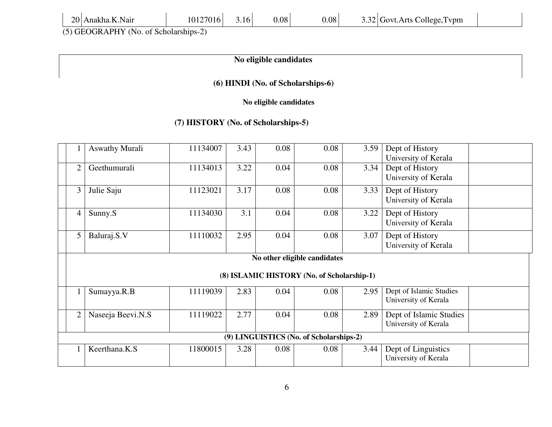|  | 20 Anakha.K.Nair |
|--|------------------|
|--|------------------|

(5) GEOGRAPHY (No. of Scholarships-2)

## **No eligible candidates**

## **(6) HINDI (No. of Scholarships-6)**

 **No eligible candidates** 

## **(7) HISTORY (No. of Scholarships-5)**

|                | <b>Aswathy Murali</b> | 11134007 | 3.43 | 0.08 | 0.08                                       | 3.59 | Dept of History         |  |
|----------------|-----------------------|----------|------|------|--------------------------------------------|------|-------------------------|--|
|                |                       |          |      |      |                                            |      | University of Kerala    |  |
| $\overline{2}$ | Geethumurali          | 11134013 | 3.22 | 0.04 | 0.08                                       | 3.34 | Dept of History         |  |
|                |                       |          |      |      |                                            |      | University of Kerala    |  |
| 3              | Julie Saju            | 11123021 | 3.17 | 0.08 | 0.08                                       | 3.33 | Dept of History         |  |
|                |                       |          |      |      |                                            |      | University of Kerala    |  |
| $\overline{4}$ | Sunny.S               | 11134030 | 3.1  | 0.04 | 0.08                                       | 3.22 | Dept of History         |  |
|                |                       |          |      |      |                                            |      | University of Kerala    |  |
| 5              | Baluraj.S.V           | 11110032 | 2.95 | 0.04 | 0.08                                       | 3.07 | Dept of History         |  |
|                |                       |          |      |      |                                            |      | University of Kerala    |  |
|                |                       |          |      |      | No other eligible candidates               |      |                         |  |
|                |                       |          |      |      | (8) ISLAMIC HISTORY (No. of Scholarship-1) |      |                         |  |
|                | Sumayya.R.B           | 11119039 | 2.83 | 0.04 | 0.08                                       | 2.95 | Dept of Islamic Studies |  |
|                |                       |          |      |      |                                            |      | University of Kerala    |  |
| $\overline{2}$ | Naseeja Beevi.N.S     | 11119022 | 2.77 | 0.04 | 0.08                                       | 2.89 | Dept of Islamic Studies |  |
|                |                       |          |      |      |                                            |      | University of Kerala    |  |
|                |                       |          |      |      | (9) LINGUISTICS (No. of Scholarships-2)    |      |                         |  |
|                | Keerthana.K.S         | 11800015 | 3.28 | 0.08 | 0.08                                       | 3.44 | Dept of Linguistics     |  |
|                |                       |          |      |      |                                            |      | University of Kerala    |  |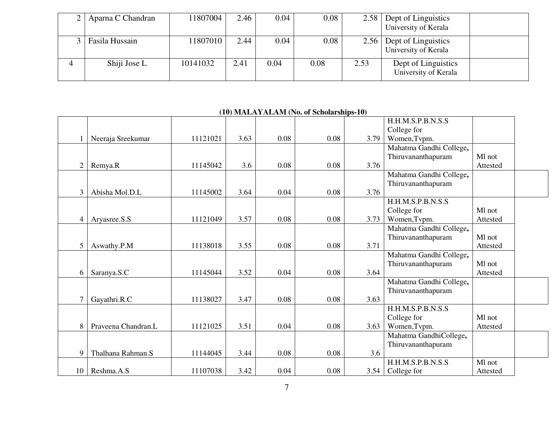| 2   Aparna C Chandran | 11807004 | 2.46 | 0.04 | 0.08 | 2.58 | Dept of Linguistics  |  |
|-----------------------|----------|------|------|------|------|----------------------|--|
|                       |          |      |      |      |      | University of Kerala |  |
| Fasila Hussain        | 11807010 | 2.44 | 0.04 | 0.08 | 2.56 | Dept of Linguistics  |  |
|                       |          |      |      |      |      | University of Kerala |  |
| Shiji Jose L          | 10141032 | 2.41 | 0.04 | 0.08 | 2.53 | Dept of Linguistics  |  |
|                       |          |      |      |      |      | University of Kerala |  |

## **(10) MALAYALAM (No. of Scholarships-10)**

|                |                     |          |      |      |      |      | H.H.M.S.P.B.N.S.S        |          |  |
|----------------|---------------------|----------|------|------|------|------|--------------------------|----------|--|
|                |                     |          |      |      |      |      | College for              |          |  |
|                | Neeraja Sreekumar   | 11121021 | 3.63 | 0.08 | 0.08 | 3.79 | Women, Tvpm.             |          |  |
|                |                     |          |      |      |      |      | Mahatma Gandhi College,  |          |  |
|                |                     |          |      |      |      |      | Thiruvananthapuram       | Ml not   |  |
| $\overline{2}$ | Remya.R             | 11145042 | 3.6  | 0.08 | 0.08 | 3.76 |                          | Attested |  |
|                |                     |          |      |      |      |      | Mahatma Gandhi College,  |          |  |
|                |                     |          |      |      |      |      | Thiruvananthapuram       |          |  |
| 3              | Abisha Mol.D.L      | 11145002 | 3.64 | 0.04 | 0.08 | 3.76 |                          |          |  |
|                |                     |          |      |      |      |      | <b>H.H.M.S.P.B.N.S.S</b> |          |  |
|                |                     |          |      |      |      |      | College for              | Ml not   |  |
| $\overline{4}$ | Aryasree.S.S        | 11121049 | 3.57 | 0.08 | 0.08 | 3.73 | Women, Tvpm.             | Attested |  |
|                |                     |          |      |      |      |      | Mahatma Gandhi College,  |          |  |
|                |                     |          |      |      |      |      | Thiruvananthapuram       | Ml not   |  |
| 5              | Aswathy.P.M         | 11138018 | 3.55 | 0.08 | 0.08 | 3.71 |                          | Attested |  |
|                |                     |          |      |      |      |      | Mahatma Gandhi College,  |          |  |
|                |                     |          |      |      |      |      | Thiruvananthapuram       | Ml not   |  |
| 6              | Saranya.S.C         | 11145044 | 3.52 | 0.04 | 0.08 | 3.64 |                          | Attested |  |
|                |                     |          |      |      |      |      | Mahatma Gandhi College,  |          |  |
|                |                     |          |      |      |      |      | Thiruvananthapuram       |          |  |
| $\overline{7}$ | Gayathri.R.C        | 11138027 | 3.47 | 0.08 | 0.08 | 3.63 |                          |          |  |
|                |                     |          |      |      |      |      | <b>H.H.M.S.P.B.N.S.S</b> |          |  |
|                |                     |          |      |      |      |      | College for              | Ml not   |  |
| 8              | Praveena Chandran.L | 11121025 | 3.51 | 0.04 | 0.08 | 3.63 | Women, Tvpm.             | Attested |  |
|                |                     |          |      |      |      |      | Mahatma GandhiCollege,   |          |  |
|                |                     |          |      |      |      |      | Thiruvananthapuram       |          |  |
| 9              | Thalhana Rahman.S   | 11144045 | 3.44 | 0.08 | 0.08 | 3.6  |                          |          |  |
|                |                     |          |      |      |      |      | <b>H.H.M.S.P.B.N.S.S</b> | Ml not   |  |
| 10             | Reshma.A.S          | 11107038 | 3.42 | 0.04 | 0.08 | 3.54 | College for              | Attested |  |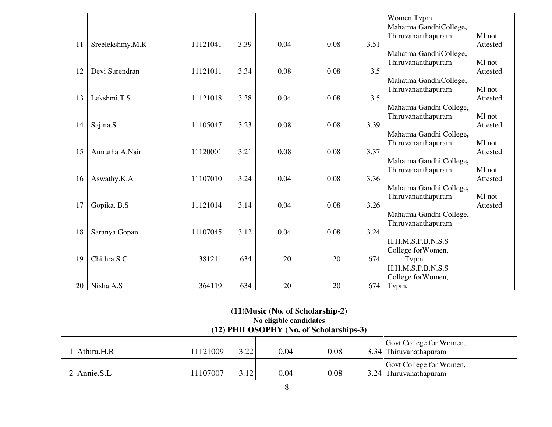|    |                 |          |      |      |      |      | Women, Tvpm.            |          |
|----|-----------------|----------|------|------|------|------|-------------------------|----------|
|    |                 |          |      |      |      |      | Mahatma GandhiCollege,  |          |
|    |                 |          |      |      |      |      | Thiruvananthapuram      | Ml not   |
| 11 | Sreelekshmy.M.R | 11121041 | 3.39 | 0.04 | 0.08 | 3.51 |                         | Attested |
|    |                 |          |      |      |      |      | Mahatma GandhiCollege,  |          |
|    |                 |          |      |      |      |      | Thiruvananthapuram      | Ml not   |
| 12 | Devi Surendran  | 11121011 | 3.34 | 0.08 | 0.08 | 3.5  |                         | Attested |
|    |                 |          |      |      |      |      | Mahatma GandhiCollege,  |          |
|    |                 |          |      |      |      |      | Thiruvananthapuram      | Ml not   |
| 13 | Lekshmi.T.S     | 11121018 | 3.38 | 0.04 | 0.08 | 3.5  |                         | Attested |
|    |                 |          |      |      |      |      | Mahatma Gandhi College, |          |
|    |                 |          |      |      |      |      | Thiruvananthapuram      | Ml not   |
| 14 | Sajina.S        | 11105047 | 3.23 | 0.08 | 0.08 | 3.39 |                         | Attested |
|    |                 |          |      |      |      |      | Mahatma Gandhi College, |          |
|    |                 |          |      |      |      |      | Thiruvananthapuram      | Ml not   |
| 15 | Amrutha A.Nair  | 11120001 | 3.21 | 0.08 | 0.08 | 3.37 |                         | Attested |
|    |                 |          |      |      |      |      | Mahatma Gandhi College, |          |
|    |                 |          |      |      |      |      | Thiruvananthapuram      | Ml not   |
| 16 | Aswathy.K.A     | 11107010 | 3.24 | 0.04 | 0.08 | 3.36 |                         | Attested |
|    |                 |          |      |      |      |      | Mahatma Gandhi College, |          |
|    |                 |          |      |      |      |      | Thiruvananthapuram      | Ml not   |
| 17 | Gopika. B.S     | 11121014 | 3.14 | 0.04 | 0.08 | 3.26 |                         | Attested |
|    |                 |          |      |      |      |      | Mahatma Gandhi College, |          |
|    |                 |          |      |      |      |      | Thiruvananthapuram      |          |
| 18 | Saranya Gopan   | 11107045 | 3.12 | 0.04 | 0.08 | 3.24 |                         |          |
|    |                 |          |      |      |      |      | H.H.M.S.P.B.N.S.S       |          |
|    |                 |          |      |      |      |      | College for Women,      |          |
| 19 | Chithra.S.C     | 381211   | 634  | 20   | 20   | 674  | Tvpm.                   |          |
|    |                 |          |      |      |      |      | H.H.M.S.P.B.N.S.S       |          |
|    |                 |          |      |      |      |      | College for Women,      |          |
| 20 | Nisha.A.S       | 364119   | 634  | 20   | 20   | 674  | Typm.                   |          |

# **(11)Music (No. of Scholarship-2) No eligible candidates (12) PHILOSOPHY (No. of Scholarships-3)**

| Athira.H.R      | 1121009 | 3.22 | 0.04 | 0.08 | Govt College for Women,<br>3.34 Thiruvanathapuram |  |
|-----------------|---------|------|------|------|---------------------------------------------------|--|
| $2$   Annie.S.L | 1107007 | 3.12 | 0.04 | 0.08 | Govt College for Women,<br>3.24 Thiruvanathapuram |  |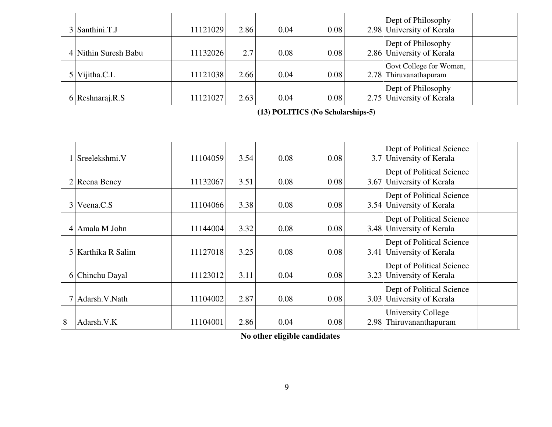| $3$ Santhini.T.J     | 11121029 | 2.86 | 0.04 | 0.08 | Dept of Philosophy<br>2.98 University of Kerala   |  |
|----------------------|----------|------|------|------|---------------------------------------------------|--|
| 4 Nithin Suresh Babu | 11132026 | 2.7  | 0.08 | 0.08 | Dept of Philosophy<br>2.86 University of Kerala   |  |
| Vijitha.C.L          | 11121038 | 2.66 | 0.04 | 0.08 | Govt College for Women,<br>2.78 Thiruvanathapuram |  |
| 6 Resharaj.R.S       | 11121027 | 2.63 | 0.04 | 0.08 | Dept of Philosophy<br>2.75 University of Kerala   |  |

**(13) POLITICS (No Scholarships-5)** 

|                | Sreelekshmi.V        | 11104059 | 3.54 | 0.08 | 0.08 |      | Dept of Political Science<br>3.7 University of Kerala  |
|----------------|----------------------|----------|------|------|------|------|--------------------------------------------------------|
|                | $2$ Reena Bency      | 11132067 | 3.51 | 0.08 | 0.08 |      | Dept of Political Science<br>3.67 University of Kerala |
| 3 <sup>1</sup> | Veena.C.S            | 11104066 | 3.38 | 0.08 | 0.08 |      | Dept of Political Science<br>3.54 University of Kerala |
|                | 4 Amala M John       | 11144004 | 3.32 | 0.08 | 0.08 |      | Dept of Political Science<br>3.48 University of Kerala |
|                | 5   Karthika R Salim | 11127018 | 3.25 | 0.08 | 0.08 | 3.41 | Dept of Political Science<br>University of Kerala      |
|                | 6 Chinchu Dayal      | 11123012 | 3.11 | 0.04 | 0.08 |      | Dept of Political Science<br>3.23 University of Kerala |
|                | 7 Adarsh. V. Nath    | 11104002 | 2.87 | 0.08 | 0.08 |      | Dept of Political Science<br>3.03 University of Kerala |
| 8              | Adarsh.V.K           | 11104001 | 2.86 | 0.04 | 0.08 |      | University College<br>2.98 Thiruvananthapuram          |

**No other eligible candidates**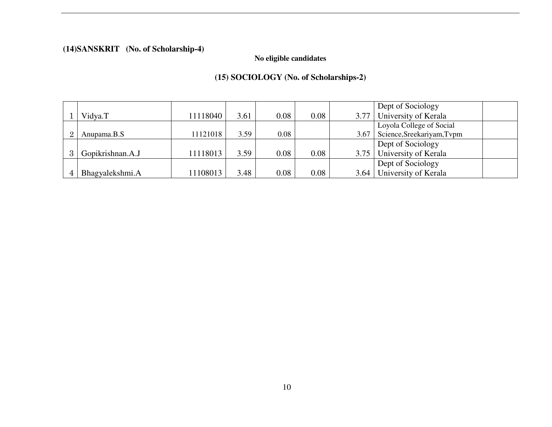## **(14)SANSKRIT (No. of Scholarship-4)**

## **No eligible candidates**

## **(15) SOCIOLOGY (No. of Scholarships-2)**

|                |                  |          |      |      |      |      | Dept of Sociology           |
|----------------|------------------|----------|------|------|------|------|-----------------------------|
|                | Vidya.T          | 11118040 | 3.61 | 0.08 | 0.08 |      | 3.77 University of Kerala   |
|                |                  |          |      |      |      |      | Loyola College of Social    |
| $\overline{2}$ | Anupama.B.S      | 11121018 | 3.59 | 0.08 |      | 3.67 | Science, Sreekariyam, Tvpm  |
|                |                  |          |      |      |      |      | Dept of Sociology           |
|                | Gopikrishnan.A.J | 11118013 | 3.59 | 0.08 | 0.08 |      | 3.75   University of Kerala |
|                |                  |          |      |      |      |      | Dept of Sociology           |
| 4              | Bhagyalekshmi.A  | 11108013 | 3.48 | 0.08 | 0.08 |      | 3.64   University of Kerala |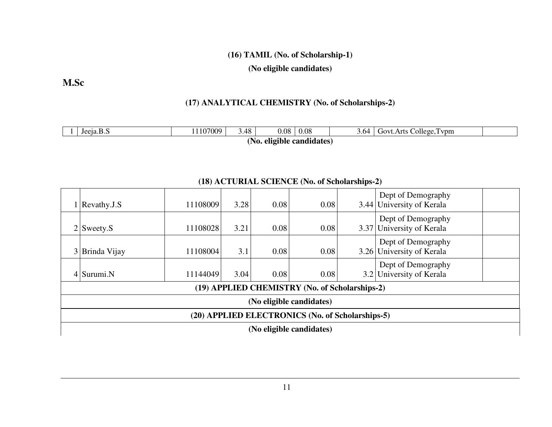## **(16) TAMIL (No. of Scholarship-1)**

**(No eligible candidates)**

**M.Sc**

## **(17) ANALYTICAL CHEMISTRY (No. of Scholarships-2)**

| Jeeja.B.S                    | 1107009 | 3.48 | $0.08\,$ | 0.08 | ۔ 64. ر | College.<br>Govt.Arts<br>l vom |  |  |  |
|------------------------------|---------|------|----------|------|---------|--------------------------------|--|--|--|
| eligible candidates)<br>'NO. |         |      |          |      |         |                                |  |  |  |

|                | $\mathbf{Revathy.}$                              | 11108009 | 3.28 | 0.08 | 0.08                                           |  | Dept of Demography<br>3.44 University of Kerala |  |  |  |
|----------------|--------------------------------------------------|----------|------|------|------------------------------------------------|--|-------------------------------------------------|--|--|--|
|                | $2$ Sweety.S                                     | 11108028 | 3.21 | 0.08 | 0.08                                           |  | Dept of Demography<br>3.37 University of Kerala |  |  |  |
| 3 <sup>1</sup> | Brinda Vijay                                     | 11108004 | 3.1  | 0.08 | 0.08                                           |  | Dept of Demography<br>3.26 University of Kerala |  |  |  |
|                | $4$ Surumi.N                                     | 11144049 | 3.04 | 0.08 | 0.08                                           |  | Dept of Demography<br>3.2 University of Kerala  |  |  |  |
|                |                                                  |          |      |      | (19) APPLIED CHEMISTRY (No. of Scholarships-2) |  |                                                 |  |  |  |
|                | (No eligible candidates)                         |          |      |      |                                                |  |                                                 |  |  |  |
|                | (20) APPLIED ELECTRONICS (No. of Scholarships-5) |          |      |      |                                                |  |                                                 |  |  |  |
|                | (No eligible candidates)                         |          |      |      |                                                |  |                                                 |  |  |  |

## **(18) ACTURIAL SCIENCE (No. of Scholarships-2)**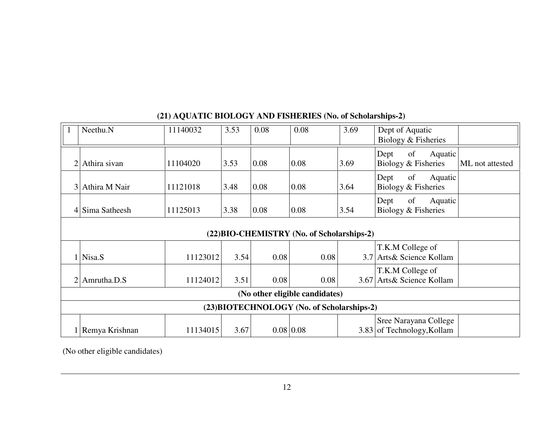|                | Neethu.N                                   | 11140032 | 3.53 | 0.08 | 0.08                                       | 3.69             | Dept of Aquatic<br>Biology & Fisheries                          |  |  |  |  |
|----------------|--------------------------------------------|----------|------|------|--------------------------------------------|------------------|-----------------------------------------------------------------|--|--|--|--|
| $\overline{2}$ | Athira sivan                               | 11104020 | 3.53 | 0.08 | 0.08                                       | 3.69             | of<br>Aquatic<br>Dept<br>Biology & Fisheries<br>ML not attested |  |  |  |  |
| $\overline{3}$ | Athira M Nair                              | 11121018 | 3.48 | 0.08 | 0.08                                       | 3.64             | of<br>Aquatic<br>Dept<br>Biology & Fisheries                    |  |  |  |  |
|                | 4 Sima Satheesh                            | 11125013 | 3.38 | 0.08 | 0.08                                       | 3.54             | of<br>Dept<br>Aquatic<br>Biology & Fisheries                    |  |  |  |  |
|                |                                            |          |      |      | (22) BIO-CHEMISTRY (No. of Scholarships-2) |                  |                                                                 |  |  |  |  |
|                | $1$ Nisa.S                                 | 11123012 | 3.54 | 0.08 | 0.08                                       | 3.7 <sup>1</sup> | T.K.M College of<br>Arts& Science Kollam                        |  |  |  |  |
|                | $2$ Amrutha.D.S                            | 11124012 | 3.51 | 0.08 | 0.08                                       |                  | T.K.M College of<br>3.67 Arts & Science Kollam                  |  |  |  |  |
|                | (No other eligible candidates)             |          |      |      |                                            |                  |                                                                 |  |  |  |  |
|                | (23) BIOTECHNOLOGY (No. of Scholarships-2) |          |      |      |                                            |                  |                                                                 |  |  |  |  |
|                | 1 Remya Krishnan                           | 11134015 | 3.67 |      | $0.08 \mid 0.08$                           |                  | Sree Narayana College<br>3.83 of Technology, Kollam             |  |  |  |  |

## **(21) AQUATIC BIOLOGY AND FISHERIES (No. of Scholarships-2)**

(No other eligible candidates)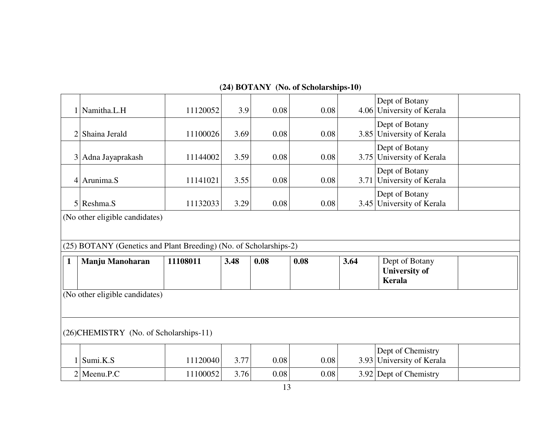| 1              | Namitha.L.H                                                       | 11120052 | 3.9  | 0.08 | 0.08 |      | Dept of Botany<br>4.06 University of Kerala      |  |
|----------------|-------------------------------------------------------------------|----------|------|------|------|------|--------------------------------------------------|--|
| $\overline{2}$ | Shaina Jerald                                                     | 11100026 | 3.69 | 0.08 | 0.08 |      | Dept of Botany<br>3.85 University of Kerala      |  |
| 3 <sup>1</sup> | Adna Jayaprakash                                                  | 11144002 | 3.59 | 0.08 | 0.08 |      | Dept of Botany<br>3.75 University of Kerala      |  |
|                | $4$ Arunima.S                                                     | 11141021 | 3.55 | 0.08 | 0.08 |      | Dept of Botany<br>3.71 University of Kerala      |  |
|                | $5$ Reshma.S                                                      | 11132033 | 3.29 | 0.08 | 0.08 |      | Dept of Botany<br>3.45 University of Kerala      |  |
|                |                                                                   |          |      |      |      |      |                                                  |  |
|                | (No other eligible candidates)                                    |          |      |      |      |      |                                                  |  |
|                |                                                                   |          |      |      |      |      |                                                  |  |
|                | (25) BOTANY (Genetics and Plant Breeding) (No. of Scholarships-2) |          |      |      |      |      |                                                  |  |
| $\mathbf{1}$   | Manju Manoharan                                                   | 11108011 | 3.48 | 0.08 | 0.08 | 3.64 | Dept of Botany<br><b>University of</b><br>Kerala |  |
|                | (No other eligible candidates)                                    |          |      |      |      |      |                                                  |  |
|                |                                                                   |          |      |      |      |      |                                                  |  |
|                | (26) CHEMISTRY (No. of Scholarships-11)                           |          |      |      |      |      |                                                  |  |
| 1              | Sumi.K.S                                                          | 11120040 | 3.77 | 0.08 | 0.08 |      | Dept of Chemistry<br>3.93 University of Kerala   |  |

## **(24) BOTANY (No. of Scholarships-10)**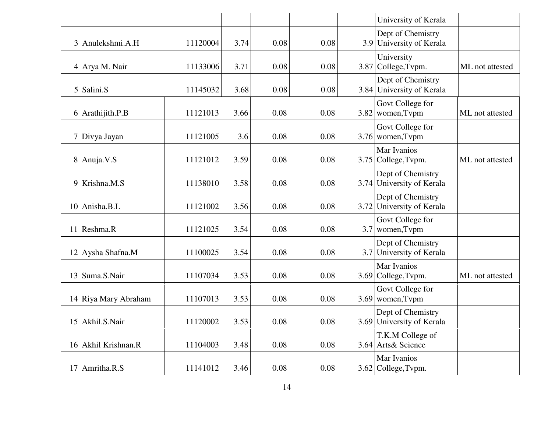|   |                      |          |      |      |      |      | University of Kerala                           |                 |
|---|----------------------|----------|------|------|------|------|------------------------------------------------|-----------------|
| 3 | Anulekshmi.A.H       | 11120004 | 3.74 | 0.08 | 0.08 |      | Dept of Chemistry<br>3.9 University of Kerala  |                 |
|   | 4 Arya M. Nair       | 11133006 | 3.71 | 0.08 | 0.08 |      | University<br>3.87 College, Tvpm.              | ML not attested |
|   | $5$ Salini.S         | 11145032 | 3.68 | 0.08 | 0.08 |      | Dept of Chemistry<br>3.84 University of Kerala |                 |
|   | $6$ Arathijith.P.B   | 11121013 | 3.66 | 0.08 | 0.08 |      | Govt College for<br>3.82 women, Typm           | ML not attested |
|   | 7 Divya Jayan        | 11121005 | 3.6  | 0.08 | 0.08 |      | Govt College for<br>3.76 women, Typm           |                 |
|   | $8$ Anuja. V.S       | 11121012 | 3.59 | 0.08 | 0.08 | 3.75 | Mar Ivanios<br>College, Tvpm.                  | ML not attested |
|   | 9 Krishna.M.S        | 11138010 | 3.58 | 0.08 | 0.08 |      | Dept of Chemistry<br>3.74 University of Kerala |                 |
|   | 10 Anisha.B.L        | 11121002 | 3.56 | 0.08 | 0.08 |      | Dept of Chemistry<br>3.72 University of Kerala |                 |
|   | 11 Reshma.R          | 11121025 | 3.54 | 0.08 | 0.08 | 3.7  | Govt College for<br>women, Tvpm                |                 |
|   | 12 Aysha Shafna.M    | 11100025 | 3.54 | 0.08 | 0.08 | 3.7  | Dept of Chemistry<br>University of Kerala      |                 |
|   | 13 Suma.S.Nair       | 11107034 | 3.53 | 0.08 | 0.08 |      | Mar Ivanios<br>3.69 College, Tvpm.             | ML not attested |
|   | 14 Riya Mary Abraham | 11107013 | 3.53 | 0.08 | 0.08 |      | Govt College for<br>$3.69$ women, Typm         |                 |
|   | 15 Akhil.S.Nair      | 11120002 | 3.53 | 0.08 | 0.08 |      | Dept of Chemistry<br>3.69 University of Kerala |                 |
|   | 16 Akhil Krishnan.R  | 11104003 | 3.48 | 0.08 | 0.08 |      | T.K.M College of<br>3.64 Arts& Science         |                 |
|   | 17 Amritha.R.S       | 11141012 | 3.46 | 0.08 | 0.08 |      | Mar Ivanios<br>$3.62$ College, Typm.           |                 |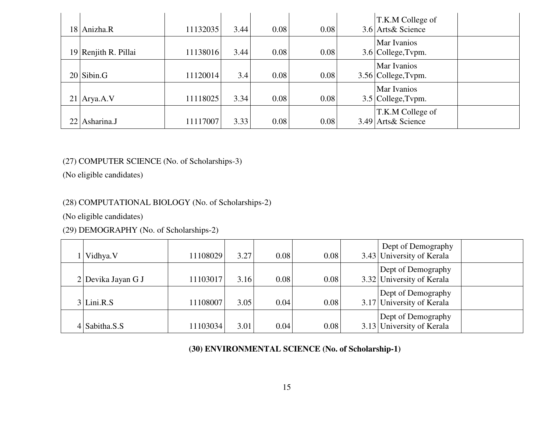| 18 Anizha.R            | 11132035 | 3.44 | 0.08 | 0.08 | T.K.M College of<br>3.6 Arts & Science    |
|------------------------|----------|------|------|------|-------------------------------------------|
| $19$ Renjith R. Pillai | 11138016 | 3.44 | 0.08 | 0.08 | <b>Mar Ivanios</b><br>3.6 College, Typm.  |
| $20$ Sibin.G           | 11120014 | 3.4  | 0.08 | 0.08 | <b>Mar Ivanios</b><br>3.56 College, Typm. |
| 21 Arya.A.V            | 11118025 | 3.34 | 0.08 | 0.08 | <b>Mar Ivanios</b><br>3.5 College, Typm.  |
| 22 Asharina.J          | 11117007 | 3.33 | 0.08 | 0.08 | T.K.M College of<br>3.49 Arts & Science   |

### (27) COMPUTER SCIENCE (No. of Scholarships-3)

(No eligible candidates)

### (28) COMPUTATIONAL BIOLOGY (No. of Scholarships-2)

(No eligible candidates)

## (29) DEMOGRAPHY (No. of Scholarships-2)

| Vidhya. V          | 11108029 | 3.27 | 0.08 | 0.08 | Dept of Demography<br>3.43 University of Kerala |  |
|--------------------|----------|------|------|------|-------------------------------------------------|--|
| 2 Devika Jayan G J | 11103017 | 3.16 | 0.08 | 0.08 | Dept of Demography<br>3.32 University of Kerala |  |
| $3$ Lini.R.S       | 11108007 | 3.05 | 0.04 | 0.08 | Dept of Demography<br>3.17 University of Kerala |  |
| $4$ Sabitha.S.S    | 11103034 | 3.01 | 0.04 | 0.08 | Dept of Demography<br>3.13 University of Kerala |  |

## **(30) ENVIRONMENTAL SCIENCE (No. of Scholarship-1)**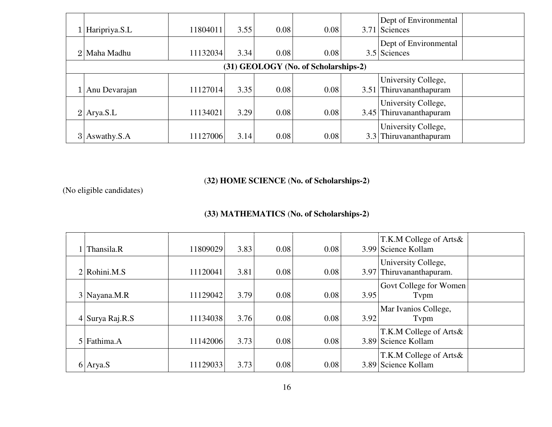| Haripriya.S.L    | 11804011 | 3.55 | 0.08 | 0.08                                 |     | Dept of Environmental<br>3.71 Sciences         |  |
|------------------|----------|------|------|--------------------------------------|-----|------------------------------------------------|--|
| 2 Maha Madhu     | 11132034 | 3.34 | 0.08 | 0.08                                 |     | Dept of Environmental<br>3.5 Sciences          |  |
|                  |          |      |      | (31) GEOLOGY (No. of Scholarships-2) |     |                                                |  |
| 1 Anu Devarajan  | 11127014 | 3.35 | 0.08 | 0.08                                 |     | University College,<br>3.51 Thiruvananthapuram |  |
| $2$ Arya.S.L     | 11134021 | 3.29 | 0.08 | 0.08                                 |     | University College,<br>3.45 Thiruvananthapuram |  |
| $3$ Aswathy. S.A | 11127006 | 3.14 | 0.08 | 0.08                                 | 3.3 | University College,<br>Thiruvananthapuram      |  |

### (**32) HOME SCIENCE** (**No. of Scholarships-2)**

(No eligible candidates)

### **(33) MATHEMATICS** (**No. of Scholarships-2)**

| Thansila.R        | 11809029 | 3.83 | 0.08 | 0.08 |      | T.K.M College of Arts&<br>3.99 Science Kollam   |  |
|-------------------|----------|------|------|------|------|-------------------------------------------------|--|
| $2$ Rohini.M.S    | 11120041 | 3.81 | 0.08 | 0.08 |      | University College,<br>3.97 Thiruvananthapuram. |  |
| 3 Nayana.M.R      | 11129042 | 3.79 | 0.08 | 0.08 | 3.95 | Govt College for Women<br>Typm                  |  |
| $4$ Surya Raj.R.S | 11134038 | 3.76 | 0.08 | 0.08 | 3.92 | Mar Ivanios College,<br>Typm                    |  |
| 5 Fathima.A       | 11142006 | 3.73 | 0.08 | 0.08 |      | T.K.M College of Arts&<br>3.89 Science Kollam   |  |
| 6 Arya.S          | 11129033 | 3.73 | 0.08 | 0.08 |      | T.K.M College of Arts&<br>3.89 Science Kollam   |  |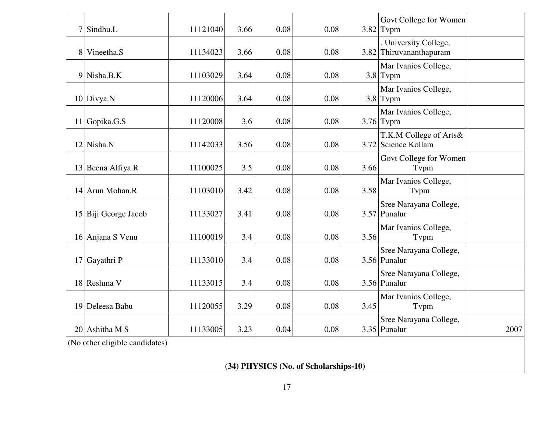| $7$ Sindhu.L                   | 11121040 | 3.66 | 0.08 | 0.08                                  |      | Govt College for Women<br>$3.82$ Typm            |      |
|--------------------------------|----------|------|------|---------------------------------------|------|--------------------------------------------------|------|
| 8 Vineetha.S                   | 11134023 | 3.66 | 0.08 | 0.08                                  |      | . University College,<br>3.82 Thiruvananthapuram |      |
| 9 Nisha.B.K                    | 11103029 | 3.64 | 0.08 | 0.08                                  |      | Mar Ivanios College,<br>$3.8$ Typm               |      |
| 10 Divya.N                     | 11120006 | 3.64 | 0.08 | 0.08                                  |      | Mar Ivanios College,<br>$3.8$ Typm               |      |
| 11 Gopika.G.S                  | 11120008 | 3.6  | 0.08 | 0.08                                  |      | Mar Ivanios College,<br>$3.76$ Typm              |      |
| $12$ Nisha.N                   | 11142033 | 3.56 | 0.08 | 0.08                                  |      | T.K.M College of Arts&<br>3.72 Science Kollam    |      |
| 13 Beena Alfiya.R              | 11100025 | 3.5  | 0.08 | 0.08                                  | 3.66 | Govt College for Women<br>Tvpm                   |      |
| 14 Arun Mohan.R                | 11103010 | 3.42 | 0.08 | 0.08                                  | 3.58 | Mar Ivanios College,<br>Tvpm                     |      |
| 15 Biji George Jacob           | 11133027 | 3.41 | 0.08 | 0.08                                  |      | Sree Narayana College,<br>$3.57$ Punalur         |      |
| 16 Anjana S Venu               | 11100019 | 3.4  | 0.08 | 0.08                                  | 3.56 | Mar Ivanios College,<br>Tvpm                     |      |
| 17 Gayathri P                  | 11133010 | 3.4  | 0.08 | 0.08                                  |      | Sree Narayana College,<br>3.56 Punalur           |      |
| 18 Reshma V                    | 11133015 | 3.4  | 0.08 | 0.08                                  |      | Sree Narayana College,<br>3.56 Punalur           |      |
| 19 Deleesa Babu                | 11120055 | 3.29 | 0.08 | 0.08                                  | 3.45 | Mar Ivanios College,<br>Tvpm                     |      |
| $20$ Ashitha M S               | 11133005 | 3.23 | 0.04 | 0.08                                  |      | Sree Narayana College,<br>$3.35$ Punalur         | 2007 |
| (No other eligible candidates) |          |      |      |                                       |      |                                                  |      |
|                                |          |      |      | (34) PHYSICS (No. of Scholarships-10) |      |                                                  |      |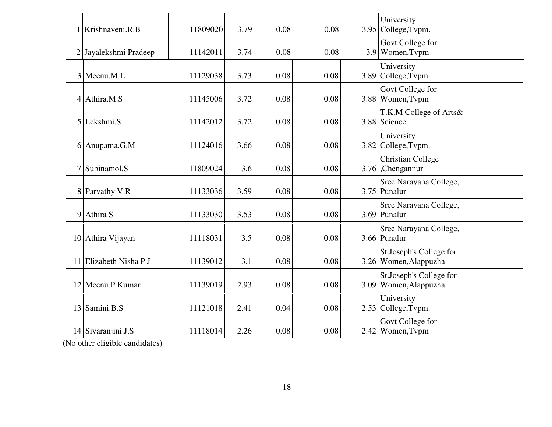| 1 Krishnaveni.R.B      | 11809020 | 3.79 | 0.08 | 0.08 | University<br>3.95 College, Typm.                |
|------------------------|----------|------|------|------|--------------------------------------------------|
| 2 Jayalekshmi Pradeep  | 11142011 | 3.74 | 0.08 | 0.08 | Govt College for<br>3.9 Women, Typm              |
| 3 Meenu.M.L            | 11129038 | 3.73 | 0.08 | 0.08 | University<br>3.89 College, Typm.                |
| $4$ Athira.M.S         | 11145006 | 3.72 | 0.08 | 0.08 | Govt College for<br>3.88 Women, Typm             |
| 5 Lekshmi.S            | 11142012 | 3.72 | 0.08 | 0.08 | T.K.M College of Arts&<br>3.88 Science           |
| 6 Anupama.G.M          | 11124016 | 3.66 | 0.08 | 0.08 | University<br>3.82 College, Typm.                |
| 7 Subinamol.S          | 11809024 | 3.6  | 0.08 | 0.08 | <b>Christian College</b><br>$3.76$ , Chengannur  |
| 8 Parvathy V.R         | 11133036 | 3.59 | 0.08 | 0.08 | Sree Narayana College,<br>$3.75$ Punalur         |
| 9 Athira S             | 11133030 | 3.53 | 0.08 | 0.08 | Sree Narayana College,<br>3.69 Punalur           |
| 10 Athira Vijayan      | 11118031 | 3.5  | 0.08 | 0.08 | Sree Narayana College,<br>3.66 Punalur           |
| 11 Elizabeth Nisha P J | 11139012 | 3.1  | 0.08 | 0.08 | St.Joseph's College for<br>3.26 Women, Alappuzha |
| 12 Meenu P Kumar       | 11139019 | 2.93 | 0.08 | 0.08 | St.Joseph's College for<br>3.09 Women, Alappuzha |
| 13 Samini.B.S          | 11121018 | 2.41 | 0.04 | 0.08 | University<br>$2.53$ College, Typm.              |
| 14 Sivaranjini.J.S     | 11118014 | 2.26 | 0.08 | 0.08 | Govt College for<br>2.42 Women, Tvpm             |

(No other eligible candidates)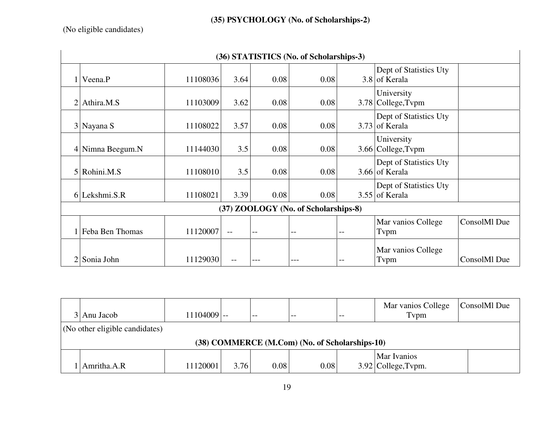## **(35) PSYCHOLOGY (No. of Scholarships-2)**

(No eligible candidates)

| (36) STATISTICS (No. of Scholarships-3) |          |                   |      |                                      |     |                                            |              |  |  |  |
|-----------------------------------------|----------|-------------------|------|--------------------------------------|-----|--------------------------------------------|--------------|--|--|--|
| $1$ Veena.P                             | 11108036 | 3.64              | 0.08 | 0.08                                 |     | Dept of Statistics Uty<br>3.8 of Kerala    |              |  |  |  |
| $2$ Athira.M.S                          | 11103009 | 3.62              | 0.08 | 0.08                                 |     | University<br>3.78 College, Tvpm           |              |  |  |  |
| 3 Nayana S                              | 11108022 | 3.57              | 0.08 | 0.08                                 |     | Dept of Statistics Uty<br>$3.73$ of Kerala |              |  |  |  |
| 4 Nimna Beegum.N                        | 11144030 | 3.5               | 0.08 | 0.08                                 |     | University<br>3.66 College, Tvpm           |              |  |  |  |
| 5 Rohini.M.S                            | 11108010 | 3.5               | 0.08 | 0.08                                 |     | Dept of Statistics Uty<br>3.66 of Kerala   |              |  |  |  |
| $6$ Lekshmi.S.R                         | 11108021 | 3.39              | 0.08 | 0.08                                 |     | Dept of Statistics Uty<br>$3.55$ of Kerala |              |  |  |  |
|                                         |          |                   |      | (37) ZOOLOGY (No. of Scholarships-8) |     |                                            |              |  |  |  |
| 1 Feba Ben Thomas                       | 11120007 | $-$               | $-$  | $- -$                                | $-$ | Mar vanios College<br>Tvpm                 | ConsolMl Due |  |  |  |
| 2 Sonia John                            | 11129030 | $\qquad \qquad -$ |      |                                      | $-$ | Mar vanios College<br>Tvpm                 | ConsolMl Due |  |  |  |

|                                                | 3 Anu Jacob                          | 11104009 -- |      | $ -$ |          | $- -$ | Mar vanios College<br>Typm | ConsolMl Due |  |  |
|------------------------------------------------|--------------------------------------|-------------|------|------|----------|-------|----------------------------|--------------|--|--|
|                                                | $($ No other eligible candidates $)$ |             |      |      |          |       |                            |              |  |  |
| (38) COMMERCE (M.Com) (No. of Scholarships-10) |                                      |             |      |      |          |       |                            |              |  |  |
|                                                |                                      |             |      |      |          |       | <b>Mar Ivanios</b>         |              |  |  |
|                                                | Amritha.A.R                          | 11120001    | 3.76 | 0.08 | $0.08\,$ |       | $3.92$ College, Typm.      |              |  |  |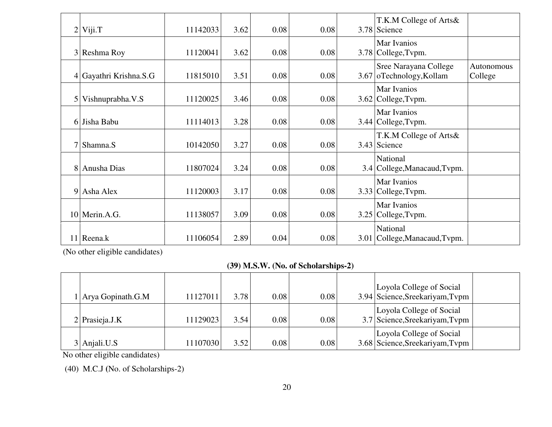|   | $2$ Viji.T             | 11142033 | 3.62 | 0.08 | 0.08 | T.K.M College of Arts&<br>3.78 Science            |                       |
|---|------------------------|----------|------|------|------|---------------------------------------------------|-----------------------|
|   | 3 Reshma Roy           | 11120041 | 3.62 | 0.08 | 0.08 | Mar Ivanios<br>3.78 College, Typm.                |                       |
|   | 4 Gayathri Krishna.S.G | 11815010 | 3.51 | 0.08 | 0.08 | Sree Narayana College<br>3.67 oTechnology, Kollam | Autonomous<br>College |
| 5 | Vishnuprabha.V.S       | 11120025 | 3.46 | 0.08 | 0.08 | Mar Ivanios<br>$3.62$ College, Typm.              |                       |
|   | 6 Jisha Babu           | 11114013 | 3.28 | 0.08 | 0.08 | Mar Ivanios<br>3.44 College, Typm.                |                       |
| 7 | Shamna.S               | 10142050 | 3.27 | 0.08 | 0.08 | T.K.M College of Arts&<br>3.43 Science            |                       |
| 8 | Anusha Dias            | 11807024 | 3.24 | 0.08 | 0.08 | National<br>3.4 College, Manacaud, Typm.          |                       |
|   | 9 Asha Alex            | 11120003 | 3.17 | 0.08 | 0.08 | Mar Ivanios<br>3.33 College, Typm.                |                       |
|   | $10$ Merin.A.G.        | 11138057 | 3.09 | 0.08 | 0.08 | Mar Ivanios<br>$3.25$ College, Typm.              |                       |
|   | 11 Reena.k             | 11106054 | 2.89 | 0.04 | 0.08 | National<br>3.01 College, Manacaud, Typm.         |                       |

(No other eligible candidates)

**(39) M.S.W. (No. of Scholarships-2)**

| $\vert$ Arya Gopinath.G.M | 11127011 | 3.78 | 0.08 | 0.08 | Loyola College of Social<br>3.94 Science, Sreekariyam, Typm |  |
|---------------------------|----------|------|------|------|-------------------------------------------------------------|--|
| $2$  Prasieja.J.K         | 11129023 | 3.54 | 0.08 | 0.08 | Loyola College of Social<br>3.7 Science, Sreekariyam, Typm  |  |
| Anjali.U.S                | 11107030 | 3.52 | 0.08 | 0.08 | Loyola College of Social<br>3.68 Science, Sreekariyam, Typm |  |

No other eligible candidates)

(40) M.C.J **(**No. of Scholarships-2)